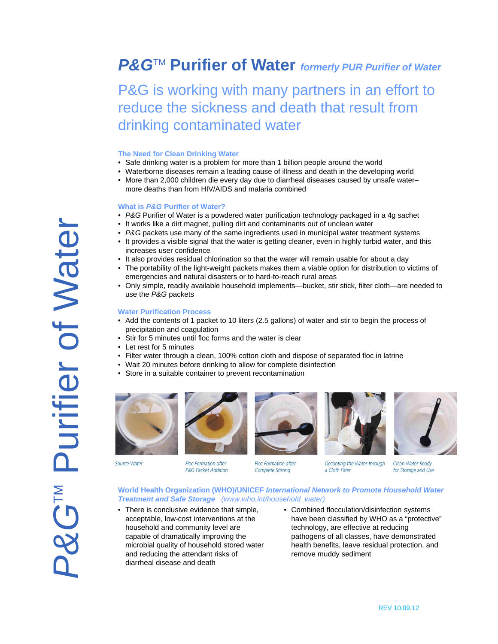## *P&G*TM **Purifier of Water** *formerly PUR Purifier of Water*

## P&G is working with many partners in an effort to reduce the sickness and death that result from drinking contaminated water

#### **The Need for Clean Drinking Water**

- Safe drinking water is a problem for more than 1 billion people around the world
- Waterborne diseases remain a leading cause of illness and death in the developing world
- More than 2,000 children die every day due to diarrheal diseases caused by unsafe water– more deaths than from HIV/AIDS and malaria combined

#### **What is** *P&G* **Purifier of Water?**

- *P&G* Purifier of Water is a powdered water purification technology packaged in a 4g sachet
- It works like a dirt magnet, pulling dirt and contaminants out of unclean water
- *P&G* packets use many of the same ingredients used in municipal water treatment systems
- It provides a visible signal that the water is getting cleaner, even in highly turbid water, and this increases user confidence
- It also provides residual chlorination so that the water will remain usable for about a day
- The portability of the light-weight packets makes them a viable option for distribution to victims of emergencies and natural disasters or to hard-to-reach rural areas
- Only simple, readily available household implements—bucket, stir stick, filter cloth—are needed to use the *P&G* packets

#### **Water Purification Process**

- Add the contents of 1 packet to 10 liters (2.5 gallons) of water and stir to begin the process of precipitation and coagulation
- Stir for 5 minutes until floc forms and the water is clear
- Let rest for 5 minutes
- Filter water through a clean, 100% cotton cloth and dispose of separated floc in latrine
- Wait 20 minutes before drinking to allow for complete disinfection
- Store in a suitable container to prevent recontamination











Source Water

**Floc Formation after P&G Packet Addition** 

**Floc Formation after Complete Stirring** 

Decanting the Water through a Cloth Filter

Clean Water Ready for Storage and Use

**World Health Organization (WHO)/UNICEF** *International Network to Promote Household Water Treatment and Safe Storage (www.who.int/household\_water)*

- There is conclusive evidence that simple, acceptable, low-cost interventions at the household and community level are capable of dramatically improving the microbial quality of household stored water and reducing the attendant risks of diarrheal disease and death
- Combined flocculation/disinfection systems have been classified by WHO as a "protective" technology, are effective at reducing pathogens of all classes, have demonstrated health benefits, leave residual protection, and remove muddy sediment